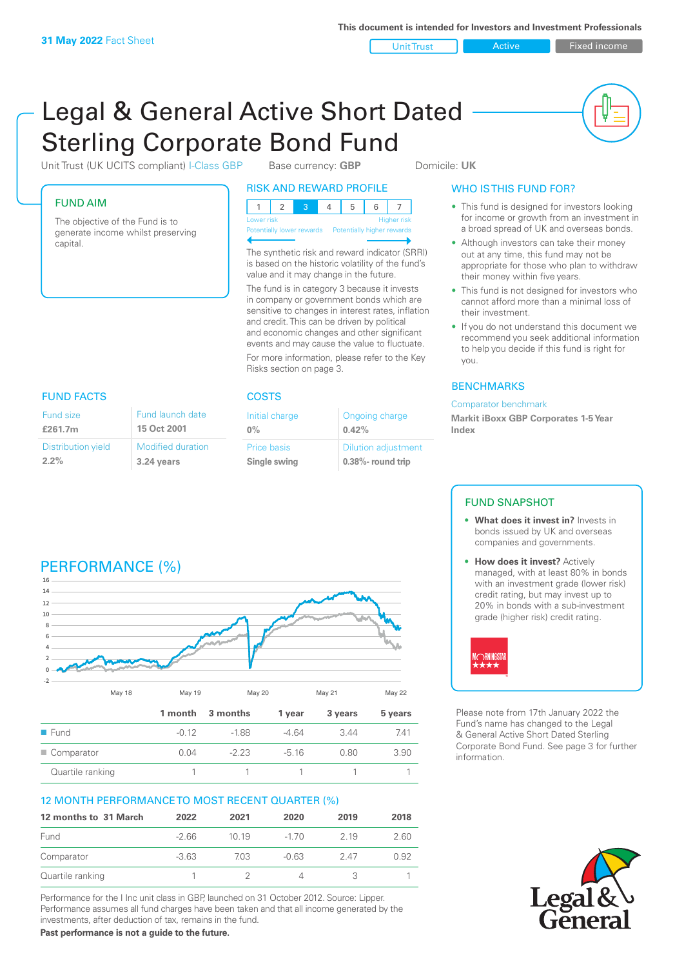FUND AIM

capital.

Unit Trust **Contains Active Contains Active** Fixed income

# Legal & General Active Short Dated Sterling Corporate Bond Fund

Unit Trust (UK UCITS compliant) I-Class GBP Base currency: **GBP** Domicile: UK

The objective of the Fund is to generate income whilst preserving

| <b>RISK AND REWARD PROFILE</b> |                                  |  |  |  |  |  |  |
|--------------------------------|----------------------------------|--|--|--|--|--|--|
|                                |                                  |  |  |  |  |  |  |
|                                | <b>Higher risk</b><br>Lower risk |  |  |  |  |  |  |

Potentially lower rewards

The synthetic risk and reward indicator (SRRI) is based on the historic volatility of the fund's value and it may change in the future.

The fund is in category 3 because it invests in company or government bonds which are sensitive to changes in interest rates, inflation and credit. This can be driven by political and economic changes and other significant events and may cause the value to fluctuate. For more information, please refer to the Key Risks section on page 3.

### WHO IS THIS FUND FOR?

- This fund is designed for investors looking for income or growth from an investment in a broad spread of UK and overseas bonds.
- Although investors can take their money out at any time, this fund may not be appropriate for those who plan to withdraw their money within five years.
- This fund is not designed for investors who cannot afford more than a minimal loss of their investment.
- If you do not understand this document we recommend you seek additional information to help you decide if this fund is right for you.

#### **BENCHMARKS**

#### Comparator benchmark

**Markit iBoxx GBP Corporates 1-5 Year Index**

#### Fund size **£261.7m** Distribution yield **15 Oct 2001**

| Fund size          | Fund launch date         |
|--------------------|--------------------------|
| £261.7m            | 15 Oct 2001              |
| Distribution yield | <b>Modified duration</b> |
| $2.2\%$            | 3.24 years               |

# FUND FACTS **COSTS**

| Initial charge | Ongoing charge             |
|----------------|----------------------------|
| $0\%$          | 0.42%                      |
| Price basis    | <b>Dilution adjustment</b> |
| Single swing   | $0.38\%$ - round trip      |

#### FUND SNAPSHOT

- **• What does it invest in?** Invests in bonds issued by UK and overseas companies and governments.
- **• How does it invest?** Actively managed, with at least 80% in bonds with an investment grade (lower risk) credit rating, but may invest up to 20% in bonds with a sub-investment grade (higher risk) credit rating.



Please note from 17th January 2022 the Fund's name has changed to the Legal & General Active Short Dated Sterling Corporate Bond Fund. See page 3 for further information.



# PERFORMANCE (%)



#### 12 MONTH PERFORMANCE TO MOST RECENT QUARTER (%)

| 12 months to 31 March | 2022    | 2021 | 2020    | 2019 | 2018 |
|-----------------------|---------|------|---------|------|------|
| Fund                  | $-266$  | 1019 | $-170$  | 2 19 | 2.60 |
| Comparator            | $-3.63$ | 7.03 | $-0.63$ | 247  | 0.92 |
| Quartile ranking      |         |      | 4       |      |      |

Performance for the I Inc unit class in GBP, launched on 31 October 2012. Source: Lipper. Performance assumes all fund charges have been taken and that all income generated by the investments, after deduction of tax, remains in the fund.

**Past performance is not a guide to the future.**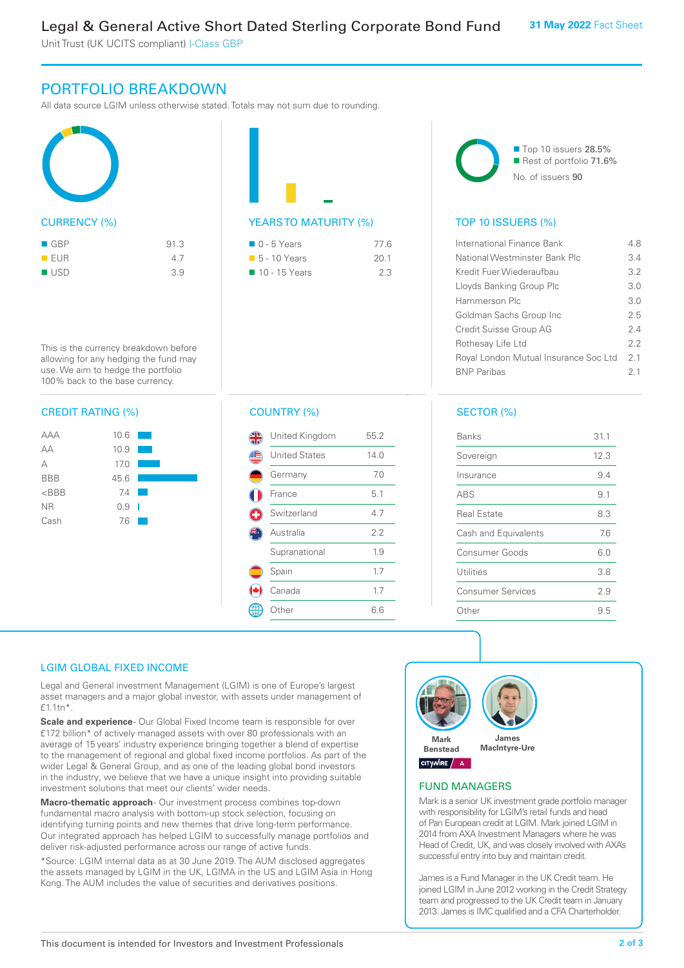Unit Trust (UK UCITS compliant) I-Class GBP

## PORTFOLIO BREAKDOWN

All data source LGIM unless otherwise stated. Totals may not sum due to rounding.





| $\Box$ 0 - 5 Years          | 77 6 |
|-----------------------------|------|
| $\blacksquare$ 5 - 10 Years | 20.1 |
| ■ 10 - 15 Years             | 23   |



#### TOP 10 ISSUERS (%)

| International Finance Bank            | 4.8 |
|---------------------------------------|-----|
| National Westminster Bank Plc         | 3.4 |
| Kredit Fuer Wiederaufbau              | 3.2 |
| Lloyds Banking Group Plc              | 3.0 |
| Hammerson Plc                         | 3.0 |
| Goldman Sachs Group Inc               | 25  |
| Credit Suisse Group AG                | 24  |
| Rothesay Life Ltd                     | 22  |
| Royal London Mutual Insurance Soc Ltd | 21  |
| <b>BNP</b> Paribas                    | 2.1 |
|                                       |     |

allowing for any hedging the fund may use. We aim to hedge the portfolio 100% back to the base currency.

This is the currency breakdown before

#### CREDIT RATING (%)

| AAA        | 10.6    |  |
|------------|---------|--|
| AA         | 10.9    |  |
| А          | 17.0    |  |
| <b>BBB</b> | 45.6    |  |
| $<$ BBB    | 7.4     |  |
| <b>NR</b>  | $0.9-1$ |  |
| Cash       | 7.6     |  |
|            |         |  |

#### COUNTRY (%)

| United Kingdom       | 55.2 |
|----------------------|------|
| <b>United States</b> | 14.0 |
| Germany              | 7.0  |
| France               | 5.1  |
| Switzerland          | 4.7  |
| Australia            | 2.2  |
| Supranational        | 1.9  |
| Spain                | 1.7  |
| Canada               | 1.7  |
| Other                | 6.6  |
|                      |      |

#### SECTOR (%)

| Banks                    | 31.1 |
|--------------------------|------|
| Sovereign                | 12.3 |
| Insurance                | 9.4  |
| ABS                      | 9.1  |
| <b>Real Estate</b>       | 8.3  |
| Cash and Equivalents     | 7.6  |
| Consumer Goods           | 6.0  |
| Utilities                | 3.8  |
| <b>Consumer Services</b> | 2.9  |
| Other                    | 9.5  |

#### LGIM GLOBAL FIXED INCOME

Legal and General investment Management (LGIM) is one of Europe's largest asset managers and a major global investor, with assets under management of £1.1tn\*.

**Scale and experience** - Our Global Fixed Income team is responsible for over £172 billion\* of actively managed assets with over 80 professionals with an average of 15 years' industry experience bringing together a blend of expertise to the management of regional and global fixed income portfolios. As part of the wider Legal & General Group, and as one of the leading global bond investors in the industry, we believe that we have a unique insight into providing suitable investment solutions that meet our clients' wider needs.

**Macro-thematic approach** - Our investment process combines top-down fundamental macro analysis with bottom-up stock selection, focusing on identifying turning points and new themes that drive long-term performance. Our integrated approach has helped LGIM to successfully manage portfolios and deliver risk-adjusted performance across our range of active funds.

\*Source: LGIM internal data as at 30 June 2019. The AUM disclosed aggregates the assets managed by LGIM in the UK, LGIMA in the US and LGIM Asia in Hong Kong. The AUM includes the value of securities and derivatives positions.



#### FUND MANAGERS

Mark is a senior UK investment grade portfolio manager with responsibility for LGIM's retail funds and head of Pan European credit at LGIM. Mark joined LGIM in 2014 from AXA Investment Managers where he was Head of Credit, UK, and was closely involved with AXA's successful entry into buy and maintain credit.

James is a Fund Manager in the UK Credit team. He joined LGIM in June 2012 working in the Credit Strategy team and progressed to the UK Credit team in January 2013. James is IMC qualified and a CFA Charterholder.